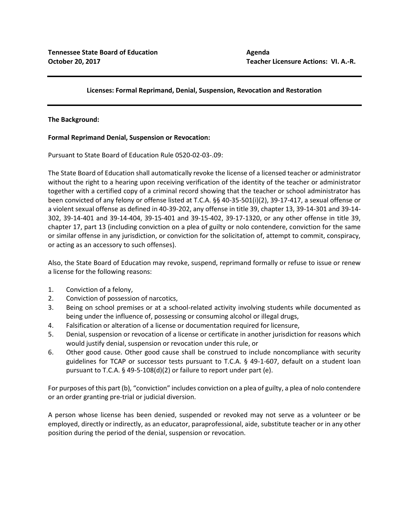# **Licenses: Formal Reprimand, Denial, Suspension, Revocation and Restoration**

### **The Background:**

## **Formal Reprimand Denial, Suspension or Revocation:**

Pursuant to State Board of Education Rule 0520-02-03-.09:

The State Board of Education shall automatically revoke the license of a licensed teacher or administrator without the right to a hearing upon receiving verification of the identity of the teacher or administrator together with a certified copy of a criminal record showing that the teacher or school administrator has been convicted of any felony or offense listed at T.C.A. §§ 40-35-501(i)(2), 39-17-417, a sexual offense or a violent sexual offense as defined in 40-39-202, any offense in title 39, chapter 13, 39-14-301 and 39-14- 302, 39-14-401 and 39-14-404, 39-15-401 and 39-15-402, 39-17-1320, or any other offense in title 39, chapter 17, part 13 (including conviction on a plea of guilty or nolo contendere, conviction for the same or similar offense in any jurisdiction, or conviction for the solicitation of, attempt to commit, conspiracy, or acting as an accessory to such offenses).

Also, the State Board of Education may revoke, suspend, reprimand formally or refuse to issue or renew a license for the following reasons:

- 1. Conviction of a felony,
- 2. Conviction of possession of narcotics,
- 3. Being on school premises or at a school-related activity involving students while documented as being under the influence of, possessing or consuming alcohol or illegal drugs,
- 4. Falsification or alteration of a license or documentation required for licensure,
- 5. Denial, suspension or revocation of a license or certificate in another jurisdiction for reasons which would justify denial, suspension or revocation under this rule, or
- 6. Other good cause. Other good cause shall be construed to include noncompliance with security guidelines for TCAP or successor tests pursuant to T.C.A. § 49-1-607, default on a student loan pursuant to T.C.A. § 49-5-108(d)(2) or failure to report under part (e).

For purposes of this part (b), "conviction" includes conviction on a plea of guilty, a plea of nolo contendere or an order granting pre-trial or judicial diversion.

A person whose license has been denied, suspended or revoked may not serve as a volunteer or be employed, directly or indirectly, as an educator, paraprofessional, aide, substitute teacher or in any other position during the period of the denial, suspension or revocation.